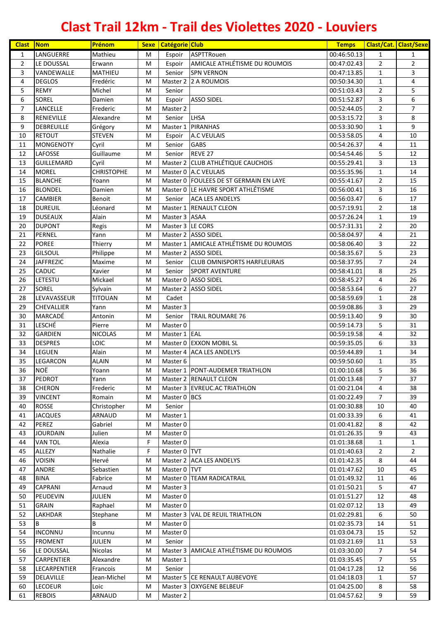| <b>Clast</b>   | <b>Nom</b>        | Prénom            | <b>Sexe</b> | <b>Catégorie Club</b> |                                          | <b>Temps</b> |                | <b>Clast/Cat. Clast/Sexe</b> |
|----------------|-------------------|-------------------|-------------|-----------------------|------------------------------------------|--------------|----------------|------------------------------|
| $\mathbf{1}$   | LANGUERRE         | Mathieu           | M           | Espoir                | <b>ASPTTRouen</b>                        | 00:46:50.13  | $\mathbf{1}$   | $\mathbf{1}$                 |
| $\overline{2}$ | LE DOUSSAL        | Erwann            | M           | Espoir                | AMICALE ATHLÉTISME DU ROUMOIS            | 00:47:02.43  | $\overline{2}$ | $\overline{2}$               |
| 3              | VANDEWALLE        | MATHIEU           | M           | Senior                | <b>SPN VERNON</b>                        | 00:47:13.85  | $\mathbf{1}$   | 3                            |
| 4              | <b>DEGLOS</b>     | Fredéric          | M           |                       | Master 2 2 A ROUMOIS                     | 00:50:34.30  | $\mathbf{1}$   | 4                            |
| 5              | <b>REMY</b>       | Michel            | M           | Senior                |                                          | 00:51:03.43  | $\overline{2}$ | 5                            |
| 6              | SOREL             | Damien            | M           | Espoir                | <b>ASSO SIDEL</b>                        | 00:51:52.87  | 3              | 6                            |
| $\overline{7}$ | LANCELLE          | Frederic          | M           | Master 2              |                                          | 00:52:44.05  | $\overline{2}$ | $\overline{7}$               |
| 8              | RENIEVILLE        | Alexandre         | M           | Senior                | <b>LHSA</b>                              | 00:53:15.72  | 3              | 8                            |
| 9              | <b>DEBREUILLE</b> | Grégory           | M           |                       | Master 1 PIRANHAS                        | 00:53:30.90  | $\mathbf{1}$   | 9                            |
| 10             | <b>RETOUT</b>     | <b>STEVEN</b>     | M           | Espoir                | <b>A.C VEULAIS</b>                       | 00:53:58.05  | 4              | 10                           |
| 11             | <b>MONGENOTY</b>  | Cyril             | M           | Senior                | <b>GABS</b>                              | 00:54:26.37  | 4              | 11                           |
| 12             | LAFOSSE           | Guillaume         | M           | Senior                | REVE 27                                  | 00:54:54.46  | 5              | 12                           |
| 13             | <b>GUILLEMARD</b> | Cyril             | M           |                       | Master 2 CLUB ATHLÉTIQUE CAUCHOIS        | 00:55:29.41  | 3              | 13                           |
| 14             | <b>MOREL</b>      | <b>CHRISTOPHE</b> | M           |                       | Master 0 A.C VEULAIS                     | 00:55:35.96  | $\mathbf{1}$   | 14                           |
| 15             | <b>BLANCHE</b>    | Yoann             | M           |                       | Master 0   FOULEES DE ST GERMAIN EN LAYE | 00:55:41.67  | $\overline{2}$ | 15                           |
| 16             | <b>BLONDEL</b>    | Damien            | M           |                       | Master 0 LE HAVRE SPORT ATHLÉTISME       | 00:56:00.41  | 3              | 16                           |
| 17             | <b>CAMBIER</b>    | Benoit            | M           | Senior                | <b>ACA LES ANDELYS</b>                   | 00:56:03.47  | 6              | 17                           |
| 18             | <b>DUREUIL</b>    | Léonard           | M           |                       | Master 1 RENAULT CLEON                   | 00:57:19.91  | $\overline{2}$ | 18                           |
| 19             | <b>DUSEAUX</b>    | Alain             | M           | Master 3 ASAA         |                                          | 00:57:26.24  | $\mathbf{1}$   | 19                           |
| 20             | <b>DUPONT</b>     | Regis             | M           | Master 3 LE CORS      |                                          | 00:57:31.31  | $\overline{2}$ | 20                           |
| 21             | PERNEL            | Yann              | M           |                       | Master 2 ASSO SIDEL                      | 00:58:04.97  | 4              | 21                           |
| 22             | <b>POREE</b>      | Thierry           | M           |                       | Master 1 AMICALE ATHLÉTISME DU ROUMOIS   | 00:58:06.40  | 3              | 22                           |
| 23             | <b>GILSOUL</b>    | Philippe          | M           |                       | Master 2 ASSO SIDEL                      | 00:58:35.67  | 5              | 23                           |
| 24             | <b>JAFFREZIC</b>  | Maxime            | M           | Senior                | <b>CLUB OMNISPORTS HARFLEURAIS</b>       | 00:58:37.95  | $\overline{7}$ | 24                           |
| 25             | CADUC             | Xavier            | M           | Senior                | <b>SPORT AVENTURE</b>                    | 00:58:41.01  | 8              | 25                           |
| 26             | LETESTU           | Mickael           | M           |                       | Master 0 ASSO SIDEL                      | 00:58:45.27  | 4              | 26                           |
| 27             | SOREL             | Sylvain           | М           |                       | Master 2 ASSO SIDEL                      | 00:58:53.64  | 6              | 27                           |
| 28             | LEVAVASSEUR       | <b>TITOUAN</b>    | M           | Cadet                 |                                          | 00:58:59.69  | $\mathbf{1}$   | 28                           |
| 29             | CHEVALLIER        | Yann              | M           | Master 3              |                                          | 00:59:08.86  | 3              | 29                           |
| 30             | MARCADÉ           | Antonin           | M           | Senior                | <b>TRAIL ROUMARE 76</b>                  | 00:59:13.40  | 9              | 30                           |
| 31             | <b>LESCHÉ</b>     | Pierre            | M           | Master 0              |                                          | 00:59:14.73  | 5              | 31                           |
| 32             | <b>GARDIEN</b>    | <b>NICOLAS</b>    | M           | Master 1 EAL          |                                          | 00:59:19.58  | 4              | 32                           |
| 33             | <b>DESPRES</b>    | LOIC              | M           |                       | Master 0 EXXON MOBIL SL                  | 00:59:35.05  | 6              | 33                           |
| 34             | LEGUEN            | Alain             | M           |                       | Master 4 ACA LES ANDELYS                 | 00:59:44.89  | $\mathbf{1}$   | 34                           |
| 35             | LEGARCON          | <b>ALAIN</b>      | M           | Master 6              |                                          | 00:59:50.60  | $\mathbf{1}$   | 35                           |
| 36             | <b>NOË</b>        | Yoann             | M           |                       | Master 1 PONT-AUDEMER TRIATHLON          | 01:00:10.68  | $\overline{5}$ | 36                           |
| 37             | PEDROT            | Yann              | М           |                       | Master 2 RENAULT CLEON                   | 01:00:13.48  | $\overline{7}$ | 37                           |
| 38             | <b>CHERON</b>     | Frederic          | M           |                       | Master 3 EVREUC.AC TRIATHLON             | 01:00:21.04  | 4              | 38                           |
| 39             | <b>VINCENT</b>    | Romain            | М           | Master 0 BCS          |                                          | 01:00:22.49  | $\overline{7}$ | 39                           |
| 40             | ROSSE             | Christopher       | М           | Senior                |                                          | 01:00:30.88  | 10             | 40                           |
| 41             | <b>JACQUES</b>    | ARNAUD            | M           | Master 1              |                                          | 01:00:33.39  | 6              | 41                           |
| 42             | PEREZ             | Gabriel           | М           | Master 0              |                                          | 01:00:41.82  | 8              | 42                           |
| 43             | <b>JOURDAIN</b>   | Julien            | М           | Master 0              |                                          | 01:01:26.35  | 9              | 43                           |
| 44             | <b>VAN TOL</b>    | Alexia            | F           | Master 0              |                                          | 01:01:38.68  | $\mathbf{1}$   | $\mathbf{1}$                 |
| 45             | ALLEZY            | Nathalie          | F.          | Master 0 TVT          |                                          | 01:01:40.63  | $\overline{2}$ | $\overline{2}$               |
| 46             | <b>VOISIN</b>     | Hervé             | M           |                       | Master 2 ACA LES ANDELYS                 | 01:01:42.35  | 8              | 44                           |
| 47             | ANDRE             | Sebastien         | M           | Master 0 TVT          |                                          | 01:01:47.62  | 10             | 45                           |
| 48             | <b>BINA</b>       | Fabrice           | M           | Master 0              | <b>TEAM RADICATRAIL</b>                  | 01:01:49.32  | 11             | 46                           |
| 49             | CAPRANI           | Arnaud            | M           | Master 3              |                                          | 01:01:50.21  | 5              | 47                           |
| 50             | PEUDEVIN          | <b>JULIEN</b>     | M           | Master 0              |                                          | 01:01:51.27  | 12             | 48                           |
| 51             | <b>GRAIN</b>      | Raphael           | M           | Master 0              |                                          | 01:02:07.12  | 13             | 49                           |
| 52             | LAKHDAR           | Stephane          | M           |                       | Master 3 VAL DE REUIL TRIATHLON          | 01:02:29.81  | 6              | 50                           |
| 53             | B                 | В                 | M           | Master 0              |                                          | 01:02:35.73  | 14             | 51                           |
| 54             | <b>INCONNU</b>    | Incunnu           | М           | Master 0              |                                          | 01:03:04.73  | 15             | 52                           |
| 55             | <b>FROMENT</b>    | JULIEN            | M           | Senior                |                                          | 01:03:21.69  | 11             | 53                           |
| 56             | LE DOUSSAL        | Nicolas           | M           |                       | Master 3 AMICALE ATHLÉTISME DU ROUMOIS   | 01:03:30.00  | $\overline{7}$ | 54                           |
| 57             | CARPENTIER        | Alexandre         | M           | Master 1              |                                          | 01:03:35.45  | $\overline{7}$ | 55                           |
| 58             | LECARPENTIER      | Francois          | M           | Senior                |                                          | 01:04:17.28  | 12             | 56                           |
| 59             | DELAVILLE         | Jean-Michel       | M           |                       | Master 5 CE RENAULT AUBEVOYE             | 01:04:18.03  | $\mathbf{1}$   | 57                           |
| 60             | <b>LECOEUR</b>    | Loic              | M           |                       | Master 3 OXYGENE BELBEUF                 | 01:04:25.00  | 8              | 58                           |
| 61             | <b>REBOIS</b>     | ARNAUD            | M           | Master 2              |                                          | 01:04:57.62  | 9              | 59                           |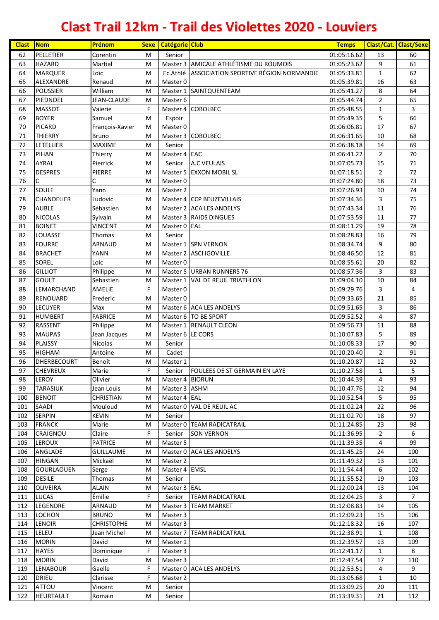| <b>Clast</b> | <b>Nom</b>                      | Prénom                    | <b>Sexe</b> | <b>Catégorie Club</b> |                                                       | <b>Temps</b>               |                    | <b>Clast/Cat. Clast/Sexe</b> |
|--------------|---------------------------------|---------------------------|-------------|-----------------------|-------------------------------------------------------|----------------------------|--------------------|------------------------------|
| 62           | PELLETIER                       | Corentin                  | M           | Senior                |                                                       | 01:05:16.62                | 13                 | 60                           |
| 63           | <b>HAZARD</b>                   | Martial                   | M           |                       | Master 3 AMICALE ATHLÉTISME DU ROUMOIS                | 01:05:23.62                | 9                  | 61                           |
| 64           | <b>MARQUER</b>                  | Loïc                      | M           |                       | Ec.Athlé ASSOCIATION SPORTIVE RÉGION NORMANDIE        | 01:05:33.81                | $\mathbf{1}$       | 62                           |
| 65           | ALEXANDRE                       | Renaud                    | M           | Master 0              |                                                       | 01:05:39.81                | 16                 | 63                           |
| 66           | <b>POUSSIER</b>                 | William                   | M           |                       | Master 1 SAINTQUENTEAM                                | 01:05:41.27                | 8                  | 64                           |
| 67           | PIEDNOEL                        | <b>JEAN-CLAUDE</b>        | M           | Master 6              |                                                       | 01:05:44.74                | $\overline{2}$     | 65                           |
| 68           | <b>MASSOT</b>                   | Valerie                   | F           |                       | Master 4 COBOLBEC                                     | 01:05:48.55                | $\mathbf{1}$       | $\overline{3}$               |
| 69           | <b>BOYER</b>                    | Samuel                    | M           | Espoir                |                                                       | 01:05:49.35                | 5                  | 66                           |
| 70           | <b>PICARD</b>                   | François-Xavier           | M           | Master 0              |                                                       | 01:06:06.81                | 17                 | 67                           |
| 71           | <b>THIERRY</b>                  | <b>Bruno</b>              | M           |                       | Master 3 COBOLBEC                                     | 01:06:31.65                | 10                 | 68                           |
| 72           | <b>LETELLIER</b>                | <b>MAXIME</b>             | M           | Senior                |                                                       | 01:06:38.18                | 14                 | 69                           |
| 73           | PIHAN                           | Thierry                   | M           | Master 4 EAC          |                                                       | 01:06:41.22                | $\overline{2}$     | 70                           |
| 74           | AYRAL                           | Pierrick                  | M           | Senior                | <b>A.C VEULAIS</b>                                    | 01:07:05.73                | 15                 | 71                           |
| 75           | <b>DESPRES</b>                  | PIERRE                    | М           |                       | Master 5 EXXON MOBIL SL                               | 01:07:18.51                | $\overline{2}$     | 72                           |
| 76           | C                               | C                         | M           | Master 0              |                                                       | 01:07:24.80                | 18                 | 73                           |
| 77           | <b>SOULE</b>                    | Yann                      | M           | Master 2              |                                                       | 01:07:26.93                | 10                 | 74                           |
| 78           | <b>CHANDELIER</b>               | Ludovic                   | M           |                       | Master 4 CCP BEUZEVILLAIS<br>Master 2 ACA LES ANDELYS | 01:07:34.36                | 3                  | 75<br>76                     |
| 79<br>80     | <b>AUBLE</b><br><b>NICOLAS</b>  | Sébastien                 | M<br>M      |                       | Master 3 RAIDS DINGUES                                | 01:07:43.34<br>01:07:53.59 | 11<br>11           | 77                           |
| 81           | <b>BOINET</b>                   | Sylvain<br><b>VINCENT</b> | М           | Master 0 EAL          |                                                       | 01:08:11.29                | 19                 | 78                           |
| 82           | LOUASSE                         | Thomas                    | M           | Senior                |                                                       | 01:08:28.83                | 16                 | 79                           |
| 83           | <b>FOURRE</b>                   | ARNAUD                    | M           |                       | Master 1 SPN VERNON                                   | 01:08:34.74                | 9                  | 80                           |
| 84           | <b>BRACHET</b>                  | YANN                      | M           |                       | Master 2 ASCI IGOVILLE                                | 01:08:46.50                | 12                 | 81                           |
| 85           | SOREL                           | Loic                      | M           | Master 0              |                                                       | 01:08:55.61                | 20                 | 82                           |
| 86           | <b>GILLIOT</b>                  | Philippe                  | M           |                       | Master 5 URBAN RUNNERS 76                             | 01:08:57.36                | 3                  | 83                           |
| 87           | <b>GOULT</b>                    | Sebastien                 | M           |                       | Master 1 VAL DE REUIL TRIATHLON                       | 01:09:04.10                | 10                 | 84                           |
| 88           | LEMARCHAND                      | AMELIE                    | $\mathsf F$ | Master 0              |                                                       | 01:09:29.76                | 3                  | 4                            |
| 89           | <b>RENOUARD</b>                 | Frederic                  | M           | Master 0              |                                                       | 01:09:33.65                | 21                 | 85                           |
| 90           | <b>LECUYER</b>                  | Max                       | M           |                       | Master 6 ACA LES ANDELYS                              | 01:09:51.65                | 3                  | 86                           |
| 91           | <b>HUMBERT</b>                  | <b>FABRICE</b>            | M           |                       | Master 6   TO BE SPORT                                | 01:09:52.52                | 4                  | 87                           |
| 92           | <b>RASSENT</b>                  | Philippe                  | M           |                       | Master 1 RENAULT CLEON                                | 01:09:56.73                | 11                 | 88                           |
| 93           | <b>MAUPAS</b>                   | Jean Jacques              | М           | Master 6 LE CORS      |                                                       | 01:10:07.83                | 5                  | 89                           |
| 94           | <b>PLAISSY</b>                  | Nicolas                   | M           | Senior                |                                                       | 01:10:08.33                | 17                 | 90                           |
| 95           | <b>HIGHAM</b>                   | Antoine                   | M           | Cadet                 |                                                       | 01:10:20.40                | $\overline{2}$     | 91                           |
| 96           | <b>DHERBECOURT</b>              | Benoît                    | M           | Master 1              |                                                       | 01:10:20.87                | 12                 | 92                           |
| 97           | <b>CHEVREUX</b>                 | Marie                     | F           | Senior                | FOULEES DE ST GERMAIN EN LAYE                         | 01:10:27.58                | $\mathbf 1$        | 5                            |
| 98           | <b>LEROY</b>                    | Olivier                   | M           | Master 4 BIORUN       |                                                       | 01:10:44.39                | 4                  | 93                           |
| 99           | <b>TARASIUK</b>                 | Jean Louis                | M           | Master 3 ASHM         |                                                       | 01:10:47.76                | 12                 | 94                           |
| 100          | <b>BENOIT</b>                   | CHRISTIAN                 | М           | Master 4 EAL          |                                                       | 01:10:52.54                | 5                  | 95                           |
| 101          | SAADI                           | Mouloud                   | М           |                       | Master 0 VAL DE REUIL AC                              | 01:11:02.24                | 22                 | 96                           |
| 102          | <b>SERPIN</b>                   | <b>KEVIN</b>              | M           | Senior                |                                                       | 01:11:02.70                | 18                 | 97                           |
| 103          | <b>FRANCK</b>                   | Marie                     | M           |                       | Master 0 TEAM RADICATRAIL                             | 01:11:24.85                | 23                 | 98                           |
| 104          | CRAIGNOU                        | Claire                    | F           | Senior                | <b>SON VERNON</b>                                     | 01:11:36.95                | $\overline{2}$     | 6                            |
| 105          | <b>LEROUX</b>                   | <b>PATRICE</b>            | M           | Master 5              |                                                       | 01:11:39.35                | 4                  | 99                           |
| 106          | ANGLADE                         | GUILLAUME                 | м           |                       | Master 0 ACA LES ANDELYS                              | 01:11:45.25                | 24                 | 100                          |
| 107          | <b>HINGAN</b>                   | Mickaël                   | М           | Master 2              |                                                       | 01:11:49.32                | 13                 | 101                          |
| 108          | <b>GOURLAOUEN</b>               | Serge                     | M           | Master 4 EMSL         |                                                       | 01:11:54.44                | 6                  | 102                          |
| 109          | <b>DESILE</b>                   | Thomas                    | М           | Senior                |                                                       | 01:11:55.52                | 19                 | 103                          |
| 110          | <b>OLIVEIRA</b>                 | <b>ALAIN</b>              | М           | Master 3 EAL          |                                                       | 01:12:00.24                | 13                 | 104                          |
| 111          | <b>LUCAS</b>                    | Émilie                    | F           | Senior                | <b>TEAM RADICATRAIL</b>                               | 01:12:04.25                | 3                  | $\overline{7}$               |
| 112          | LEGENDRE                        | ARNAUD                    | M           |                       | Master 3   TEAM MARKET                                | 01:12:08.83                | 14                 | 105                          |
| 113          | LOCHON                          | <b>BRUNO</b>              | М           | Master 3              |                                                       | 01:12:09.23                | 15                 | 106                          |
| 114          | <b>LENOIR</b>                   | CHRISTOPHE                | М           | Master 3              |                                                       | 01:12:18.32                | 16                 | 107                          |
| 115          | LELEU                           | Jean Michel               | М           |                       | Master 7   TEAM RADICATRAIL                           | 01:12:38.91                | $\mathbf{1}$       | 108                          |
| 116<br>117   | <b>MORIN</b><br><b>HAYES</b>    | David                     | М<br>F      | Master 1              |                                                       | 01:12:39.57                | 13<br>$\mathbf{1}$ | 109<br>8                     |
|              |                                 | Dominique<br>David        |             | Master 3              |                                                       | 01:12:41.17                |                    |                              |
| 118<br>119   | <b>MORIN</b><br><b>LENABOUR</b> | Gaelle                    | М<br>F      | Master 3              | Master 0 ACA LES ANDELYS                              | 01:12:47.54<br>01:12:53.51 | 17<br>4            | 110<br>9                     |
| 120          | <b>DRIEU</b>                    | Clarisse                  | F           | Master 2              |                                                       | 01:13:05.68                | $\mathbf{1}$       | 10                           |
| 121          | <b>ATTOU</b>                    | Vincent                   | М           | Senior                |                                                       | 01:13:09.25                | 20                 | 111                          |
| 122          | <b>HEURTAULT</b>                | Romain                    | М           | Senior                |                                                       | 01:13:39.31                | 21                 | 112                          |
|              |                                 |                           |             |                       |                                                       |                            |                    |                              |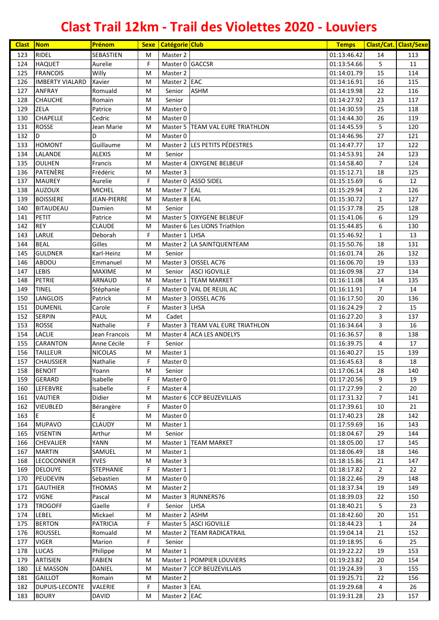| <b>Clast</b> | $\sqrt{\frac{1}{1}}$ Nom       | Prénom                  | <b>Sexe</b> | Catégorie Club               |                                  | <b>Temps</b> |                | <b>Clast/Cat. Clast/Sexe</b> |
|--------------|--------------------------------|-------------------------|-------------|------------------------------|----------------------------------|--------------|----------------|------------------------------|
| 123          | <b>RIDEL</b>                   | SEBASTIEN               | M           | Master 2                     |                                  | 01:13:46.42  | 14             | 113                          |
| 124          | <b>HAQUET</b>                  | Aurelie                 | F           | Master 0 GACCSR              |                                  | 01:13:54.66  | 5              | 11                           |
| 125          | <b>FRANCOIS</b>                | Willy                   | M           | Master 2                     |                                  | 01:14:01.79  | 15             | 114                          |
| 126          | <b>IMBERTY VIALARD</b>         | Xavier                  | M           | Master 2 EAC                 |                                  | 01:14:16.91  | 16             | 115                          |
| 127          | <b>ANFRAY</b>                  | Romuald                 | M           | Senior                       | <b>ASHM</b>                      | 01:14:19.98  | 22             | 116                          |
| 128          | <b>CHAUCHE</b>                 | Romain                  | M           | Senior                       |                                  | 01:14:27.92  | 23             | 117                          |
| 129          | <b>ZELA</b>                    | Patrice                 | M           | Master 0                     |                                  | 01:14:30.59  | 25             | 118                          |
| 130          | <b>CHAPELLE</b>                | Cedric                  | M           | Master 0                     |                                  | 01:14:44.30  | 26             | 119                          |
| 131          | <b>ROSSE</b>                   | Jean Marie              | M           |                              | Master 5 TEAM VAL EURE TRIATHLON | 01:14:45.59  | 5              | 120                          |
| 132          | D                              | D                       | M           | Master 0                     |                                  | 01:14:46.96  | 27             | 121                          |
| 133          | <b>HOMONT</b>                  | Guillaume               | M           |                              | Master 2 LES PETITS PÉDESTRES    | 01:14:47.77  | 17             | 122                          |
| 134          | LALANDE                        | <b>ALEXIS</b>           | M           | Senior                       |                                  | 01:14:53.91  | 24             | 123                          |
| 135          | <b>OULHEN</b>                  | Francis                 | M           |                              | Master 4   OXYGENE BELBEUF       | 01:14:58.40  | $\overline{7}$ | 124                          |
| 136          | PATENÈRE                       | Frédéric                | M           | Master 3                     |                                  | 01:15:12.71  | 18             | 125                          |
| 137          | <b>MAUREY</b>                  | Aurelie                 | F           |                              | Master 0 ASSO SIDEL              | 01:15:15.69  | 6              | 12                           |
| 138          | <b>AUZOUX</b>                  | <b>MICHEL</b>           | M           | Master 7 EAL                 |                                  | 01:15:29.94  | $\overline{2}$ | 126                          |
| 139          | <b>BOISSIERE</b>               | JEAN-PIERRE             | M           | Master 8 EAL                 |                                  | 01:15:30.72  | $\mathbf{1}$   | 127                          |
| 140          | <b>BITAUDEAU</b>               | Damien                  | M           | Senior                       |                                  | 01:15:37.78  | 25             | 128                          |
| 141          | <b>PETIT</b>                   | Patrice                 | M           |                              | Master 5 OXYGENE BELBEUF         | 01:15:41.06  | 6              | 129                          |
| 142          | <b>REY</b>                     | <b>CLAUDE</b>           | M           |                              | Master 6 Les LIONS Triathlon     | 01:15:44.85  | 6              | 130                          |
| 143          | LARUE                          | Deborah                 | F           | Master 1 LHSA                |                                  | 01:15:46.92  | $\mathbf{1}$   | 13                           |
| 144          | <b>BEAL</b>                    | Gilles                  | М           |                              | Master 2 LA SAINTQUENTEAM        | 01:15:50.76  | 18             | 131                          |
| 145          | <b>GULDNER</b>                 | Karl-Heinz              | М           | Senior                       |                                  | 01:16:01.74  | 26             | 132                          |
| 146          | ABDOU                          | Emmanuel                | M           |                              | Master 3 OISSEL AC76             | 01:16:06.70  | 19             | 133                          |
| 147          | <b>LEBIS</b>                   | MAXIME                  | M           | Senior                       | <b>ASCI IGOVILLE</b>             | 01:16:09.98  | 27             | 134                          |
| 148          | <b>PETRIE</b>                  | ARNAUD                  | M           |                              | Master 1 TEAM MARKET             | 01:16:11.08  | 14             | 135                          |
| 149          | <b>TINEL</b>                   | Stéphanie               | F           |                              | Master 0 VAL DE REUIL AC         | 01:16:11.91  | $\overline{7}$ | 14                           |
| 150          | <b>LANGLOIS</b>                | Patrick                 | M           |                              | Master 3 OISSEL AC76             | 01:16:17.50  | 20             | 136                          |
| 151          | <b>DUMENIL</b>                 | Carole                  | F           | Master 3 LHSA                |                                  | 01:16:24.29  | $\overline{2}$ | 15                           |
| 152          | <b>SERPIN</b>                  | PAUL                    | M           | Cadet                        |                                  | 01:16:27.20  | 3              | 137                          |
| 153          | <b>ROSSE</b>                   | Nathalie                | F           |                              | Master 3 TEAM VAL EURE TRIATHLON | 01:16:34.64  | 3              | 16                           |
| 154          | LACLIE                         | Jean Francois           | M           |                              | Master 4 ACA LES ANDELYS         | 01:16:36.57  | 8              | 138                          |
| 155          | <b>CARANTON</b>                | Anne Cécile             | F           | Senior                       |                                  | 01:16:39.75  | 4              | 17                           |
| 156          | <b>TAILLEUR</b>                | <b>NICOLAS</b>          | M           | Master 1                     |                                  | 01:16:40.27  | 15             | 139                          |
| 157          | <b>CHAUSSIER</b>               | Nathalie                | F           | Master 0                     |                                  | 01:16:45.63  | 8              | 18                           |
|              | 158 BENOIT                     | Yoann                   | M           | Senior                       |                                  | 01:17:06.14  | 28             | 140                          |
| 159          | <b>GERARD</b>                  | Isabelle                | F           | Master 0                     |                                  | 01:17:20.56  | 9              | 19                           |
| 160          | LEFEBVRE                       | Isabelle                | F           | Master 4                     |                                  | 01:17:27.99  | $\overline{2}$ | 20                           |
| 161          | VAUTIER                        | Didier                  | M           |                              | Master 6 CCP BEUZEVILLAIS        | 01:17:31.32  | $\overline{7}$ | 141                          |
| 162          | <b>VIEUBLED</b>                | Bérangère               | F           | Master 0                     |                                  | 01:17:39.61  | 10             | 21                           |
| 163          | E                              | E                       | M           | Master 0                     |                                  | 01:17:40.23  | 28             | 142                          |
| 164          | <b>MUPAVO</b>                  | CLAUDY                  | M           | Master 1                     |                                  | 01:17:59.69  | 16             | 143                          |
| 165          | <b>VISENTIN</b>                | Arthur                  | M           | Senior                       |                                  | 01:18:04.67  | 29             | 144                          |
| 166          | <b>CHEVALIER</b>               | YANN                    | M           |                              | Master 1 TEAM MARKET             | 01:18:05.00  | 17             | 145                          |
| 167          | <b>MARTIN</b>                  | SAMUEL                  | M           | Master 1                     |                                  | 01:18:06.49  | 18             | 146                          |
| 168          | <b>LECOCONNIER</b>             | <b>YVES</b>             | M           | Master 3                     |                                  | 01:18:15.86  | 21             | 147                          |
| 169          | <b>DELOUYE</b>                 | <b>STEPHANIE</b>        | F           | Master 1                     |                                  | 01:18:17.82  | $\overline{2}$ | 22                           |
| 170          | <b>PEUDEVIN</b>                | Sebastien               | M           | Master 0                     |                                  | 01:18:22.46  | 29             | 148                          |
| 171          | <b>GAUTHIER</b>                | <b>THOMAS</b>           | M           | Master 2                     |                                  | 01:18:37.34  | 19             | 149                          |
| 172          | <b>VIGNE</b>                   | Pascal                  | M           |                              | Master 3 RUNNERS76               | 01:18:39.03  | 22             | 150                          |
| 173          | <b>TROGOFF</b>                 | Gaelle                  | F           | Senior                       | LHSA                             | 01:18:40.21  | 5              | 23                           |
| 174          | <b>LEBEL</b>                   | Mickael                 | M           | Master 2 ASHM                |                                  | 01:18:42.60  | 20             | 151                          |
| 175          | <b>BERTON</b>                  | <b>PATRICIA</b>         | F           |                              | Master 5 ASCI IGOVILLE           | 01:18:44.23  | $\mathbf{1}$   | 24                           |
| 176          | <b>ROUSSEL</b>                 | Romuald                 | M           |                              | Master 2 TEAM RADICATRAIL        | 01:19:04.14  | 21             | 152                          |
| 177          | <b>VIGER</b>                   | Marion                  | F           | Senior                       |                                  | 01:19:18.95  | 6              | 25                           |
| 178          | <b>LUCAS</b>                   | Philippe                | М           | Master 1                     |                                  | 01:19:22.22  | 19             | 153                          |
| 179          | ARTISIEN                       | <b>FABIEN</b>           | M           |                              | Master 1 POMPIER LOUVIERS        | 01:19:23.82  | 20             | 154                          |
| 180          | LE MASSON                      | DANIEL                  | M           |                              | Master 7 CCP BEUZEVILLAIS        | 01:19:24.39  | 3              | 155                          |
| 181          | <b>GAILLOT</b>                 | Romain                  | М           | Master 2                     |                                  | 01:19:25.71  | 22             | 156                          |
| 182          | DUPUIS-LECONTE<br><b>BOURY</b> | VALERIE<br><b>DAVID</b> | F<br>M      | Master 3 EAL<br>Master 2 EAC |                                  | 01:19:29.68  | 4<br>23        | 26<br>157                    |
| 183          |                                |                         |             |                              |                                  | 01:19:31.28  |                |                              |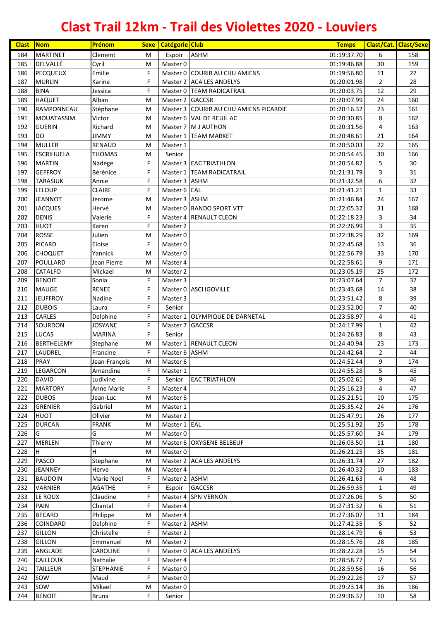| <b>Clast</b> | <b>Nom</b>        | Prénom           | <b>Sexe</b> | <b>Catégorie Club</b> |                                        | <b>Temps</b> |                | <b>Clast/Cat. Clast/Sexe</b> |
|--------------|-------------------|------------------|-------------|-----------------------|----------------------------------------|--------------|----------------|------------------------------|
| 184          | <b>MARTINET</b>   | Clement          | M           | Espoir                | <b>ASHM</b>                            | 01:19:37.70  | 6              | 158                          |
| 185          | DELVALLÉ          | Cyril            | M           | Master 0              |                                        | 01:19:46.88  | 30             | 159                          |
| 186          | <b>PECQUEUX</b>   | Emilie           | F           |                       | Master 0 COURIR AU CHU AMIENS          | 01:19:56.80  | 11             | 27                           |
| 187          | <b>MURLIN</b>     | Karine           | F           |                       | Master 2 ACA LES ANDELYS               | 01:20:01.98  | $\overline{2}$ | 28                           |
| 188          | <b>BINA</b>       | Jessica          | F           |                       | Master 0 TEAM RADICATRAIL              | 01:20:03.75  | 12             | 29                           |
| 189          | <b>HAQUET</b>     | Alban            | M           | Master 2 GACCSR       |                                        | 01:20:07.99  | 24             | 160                          |
| 190          | RAMPONNEAU        | Stéphane         | M           |                       | Master 3 COURIR AU CHU AMIENS PICARDIE | 01:20:16.32  | 23             | 161                          |
| 191          | <b>MOUATASSIM</b> | Victor           | М           |                       | Master 6 VAL DE REUIL AC               | 01:20:30.85  | 8              | 162                          |
| 192          | <b>GUERIN</b>     | Richard          | M           |                       | Master 7 M J AUTHON                    | 01:20:31.56  | $\overline{4}$ | 163                          |
| 193          | DO                | <b>JIMMY</b>     | M           |                       | Master 1 TEAM MARKET                   | 01:20:48.61  | 21             | 164                          |
| 194          | <b>MULLER</b>     | RENAUD           | M           | Master 1              |                                        | 01:20:50.03  | 22             | 165                          |
| 195          | <b>ESCRIHUELA</b> | <b>THOMAS</b>    | M           | Senior                |                                        | 01:20:54.45  | 30             | 166                          |
| 196          | <b>MARTIN</b>     | Nadege           | F           |                       | Master 3 EAC TRIATHLON                 | 01:20:54.82  | 5              | 30                           |
| 197          | <b>GEFFROY</b>    | Bérénice         | F           |                       | Master 1   TEAM RADICATRAIL            | 01:21:31.79  | 3              | 31                           |
| 198          | <b>TARASIUK</b>   | Annie            | F           | Master 3 ASHM         |                                        | 01:21:32.58  | 6              | 32                           |
| 199          | <b>LELOUP</b>     | <b>CLAIRE</b>    | F           | Master 6 EAL          |                                        | 01:21:41.21  | 1              | 33                           |
| 200          | <b>JEANNOT</b>    | Jerome           | M           | Master 3 ASHM         |                                        | 01:21:46.84  | 24             | 167                          |
| 201          | <b>JACQUES</b>    | Hervé            | M           |                       | Master 0 RANDO SPORT VTT               | 01:22:05.32  | 31             | 168                          |
| 202          | <b>DENIS</b>      | Valerie          | F           |                       | Master 4 RENAULT CLEON                 | 01:22:18.23  | 3              | 34                           |
| 203          | <b>HUOT</b>       | Karen            | F           | Master 2              |                                        | 01:22:26.99  | 3              | 35                           |
| 204          | <b>ROSSE</b>      | Julien           | M           | Master 0              |                                        | 01:22:38.29  | 32             | 169                          |
| 205          | <b>PICARD</b>     | Eloise           | F           | Master 0              |                                        | 01:22:45.68  | 13             | 36                           |
| 206          | <b>CHOQUET</b>    | Yannick          | M           | Master 0              |                                        | 01:22:56.79  | 33             | 170                          |
| 207          | POULLARD          | Jean Pierre      | M           | Master 4              |                                        | 01:22:58.61  | 9              | 171                          |
| 208          | <b>CATALFO</b>    | Mickael          | M           | Master 2              |                                        | 01:23:05.19  | 25             | 172                          |
| 209          | <b>BENOIT</b>     | Sonia            | F           | Master 3              |                                        | 01:23:07.64  | $\overline{7}$ | 37                           |
| 210          | <b>MAUGE</b>      | <b>RENEE</b>     | F           |                       | Master 0 ASCI IGOVILLE                 | 01:23:43.68  | 14             | 38                           |
| 211          | <b>JEUFFROY</b>   | Nadine           | F           | Master 3              |                                        | 01:23:51.42  | 8              | 39                           |
| 212          | <b>DUBOIS</b>     | Laura            | F           | Senior                |                                        | 01:23:52.00  | $\overline{7}$ | 40                           |
| 213          | <b>CARLES</b>     | Delphine         | F           |                       | Master 1 OLYMPIQUE DE DARNETAL         | 01:23:58.97  | 4              | 41                           |
| 214          | SOURDON           | JOSYANE          | F           | Master 7 GACCSR       |                                        | 01:24:17.99  | $\mathbf{1}$   | 42                           |
| 215          | <b>LUCAS</b>      | <b>MARINA</b>    | F           | Senior                |                                        | 01:24:26.83  | 8              | 43                           |
| 216          | <b>BERTHELEMY</b> | Stephane         | M           |                       | Master 1 RENAULT CLEON                 | 01:24:40.94  | 23             | 173                          |
| 217          | LAUDREL           | Francine         | F           | Master 6 ASHM         |                                        | 01:24:42.64  | $\overline{2}$ | 44                           |
| 218          | <b>PRAY</b>       | Jean-François    | M           | Master 6              |                                        | 01:24:52.44  | 9              | 174                          |
| 219          | LEGARÇON          | Amandine         | $\mathsf F$ | Master 1              |                                        | 01:24:55.28  | $\overline{5}$ | 45                           |
| 220          | <b>DAVID</b>      | Ludivine         | F           | Senior                | <b>EAC TRIATHLON</b>                   | 01:25:02.61  | 9              | 46                           |
| 221          | <b>MARTORY</b>    | Anne Marie       | F           | Master 4              |                                        | 01:25:16.23  | 4              | 47                           |
| 222          | <b>DUBOS</b>      | Jean-Luc         | M           | Master 6              |                                        | 01:25:21.51  | 10             | 175                          |
| 223          | <b>GRENIER</b>    | Gabriel          | M           | Master 1              |                                        | 01:25:35.42  | 24             | 176                          |
| 224          | <b>HUOT</b>       | Olivier          | M           | Master 2              |                                        | 01:25:47.91  | 26             | 177                          |
| 225          | <b>DURCAN</b>     | <b>FRANK</b>     | M           | Master 1 EAL          |                                        | 01:25:51.92  | 25             | 178                          |
| 226          | G                 | G                | М           | Master 0              |                                        | 01:25:57.60  | 34             | 179                          |
| 227          | <b>MERLEN</b>     | Thierry          | М           |                       | Master 6 OXYGENE BELBEUF               | 01:26:03.50  | 11             | 180                          |
| 228          | H.                | H                | M           | Master 0              |                                        | 01:26:21.25  | 35             | 181                          |
| 229          | <b>PASCO</b>      | Stephane         | M           |                       | Master 2 ACA LES ANDELYS               | 01:26:31.74  | 27             | 182                          |
| 230          | <b>JEANNEY</b>    | Herve            | M           | Master 4              |                                        | 01:26:40.32  | 10             | 183                          |
| 231          | <b>BAUDOIN</b>    | Marie Noel       | F           | Master 2 ASHM         |                                        | 01:26:41.63  | 4              | 48                           |
| 232          | <b>VARNIER</b>    | <b>AGATHE</b>    | F           | Espoir                | <b>GACCSR</b>                          | 01:26:59.35  | $\mathbf{1}$   | 49                           |
| 233          | LE ROUX           | Claudine         | F           |                       | Master 4 SPN VERNON                    | 01:27:26.06  | 5              | 50                           |
| 234          | <b>PAIN</b>       | Chantal          | F           | Master 4              |                                        | 01:27:31.32  | 6              | 51                           |
| 235          | <b>BECARD</b>     | Philippe         | M           | Master 4              |                                        | 01:27:36.07  | 11             | 184                          |
| 236          | <b>COINDARD</b>   | Delphine         | F           | Master 2 ASHM         |                                        | 01:27:42.35  | 5              | 52                           |
| 237          | <b>GILLON</b>     | Christelle       | F           | Master 2              |                                        | 01:28:14.79  | 6              | 53                           |
| 238          | <b>GILLON</b>     | Emmanuel         | М           | Master 2              |                                        | 01:28:15.76  | 28             | 185                          |
| 239          | ANGLADE           | CAROLINE         | F           |                       | Master 0 ACA LES ANDELYS               | 01:28:22.28  | 15             | 54                           |
| 240          | <b>CAILLOUX</b>   | Nathalie         | F           | Master 4              |                                        | 01:28:58.77  | $\overline{7}$ | 55                           |
| 241          | <b>TAILLEUR</b>   | <b>STEPHANIE</b> | F           | Master 0              |                                        | 01:28:59.56  | 16             | 56                           |
| 242          | sow               | Maud             | F           | Master 0              |                                        | 01:29:22.26  | 17             | 57                           |
| 243          | sow               | Mikael           | M           | Master 0              |                                        | 01:29:23.14  | 36             | 186                          |
| 244          | <b>BENOIT</b>     | <b>Bruna</b>     | F.          | Senior                |                                        | 01:29:36.37  | 10             | 58                           |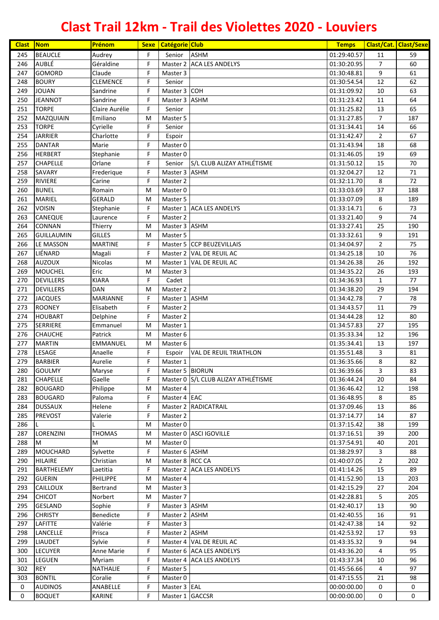| <b>Clast</b> | Nom                      | Prénom               | <b>Sexe</b> | <b>Catégorie Club</b>     |                                     | <b>Temps</b>               |                | <b>Clast/Cat. Clast/Sexe</b> |
|--------------|--------------------------|----------------------|-------------|---------------------------|-------------------------------------|----------------------------|----------------|------------------------------|
| 245          | <b>BEAUCLE</b>           | Audrey               | F           | Senior                    | <b>ASHM</b>                         | 01:29:40.57                | 11             | 59                           |
| 246          | <b>AUBLÉ</b>             | Géraldine            | F           |                           | Master 2 ACA LES ANDELYS            | 01:30:20.95                | $\overline{7}$ | 60                           |
| 247          | <b>GOMORD</b>            | Claude               | F           | Master 3                  |                                     | 01:30:48.81                | 9              | 61                           |
| 248          | <b>BOURY</b>             | <b>CLEMENCE</b>      | F           | Senior                    |                                     | 01:30:54.54                | 12             | 62                           |
| 249          | <b>JOUAN</b>             | Sandrine             | F           | Master 3 COH              |                                     | 01:31:09.92                | 10             | 63                           |
| 250          | <b>JEANNOT</b>           | Sandrine             | F           | Master 3 ASHM             |                                     | 01:31:23.42                | 11             | 64                           |
| 251          | <b>TORPE</b>             | Claire Aurélie       | F           | Senior                    |                                     | 01:31:25.82                | 13             | 65                           |
| 252          | MAZQUIAIN                | Emiliano             | M           | Master 5                  |                                     | 01:31:27.85                | $\overline{7}$ | 187                          |
| 253          | <b>TORPE</b>             | Cyrielle             | F           | Senior                    |                                     | 01:31:34.41                | 14             | 66                           |
| 254          | <b>JARRIER</b>           | Charlotte            | F           | Espoir                    |                                     | 01:31:42.47                | $\overline{2}$ | 67                           |
| 255          | <b>DANTAR</b>            | Marie                | F           | Master 0                  |                                     | 01:31:43.94                | 18             | 68                           |
| 256          | <b>HERBERT</b>           | Stephanie            | F           | Master 0                  |                                     | 01:31:46.05                | 19             | 69                           |
| 257          | <b>CHAPELLE</b>          | Orlane               | F           | Senior                    | S/L CLUB ALIZAY ATHLÉTISME          | 01:31:50.12                | 15             | 70                           |
| 258<br>259   | SAVARY<br><b>RIVIERE</b> | Frederique<br>Carine | F<br>F      | Master 3 ASHM<br>Master 2 |                                     | 01:32:04.27                | 12<br>8        | 71<br>72                     |
| 260          | <b>BUNEL</b>             | Romain               | M           | Master 0                  |                                     | 01:32:11.70                | 37             | 188                          |
| 261          | MARIEL                   | <b>GERALD</b>        | M           | Master 5                  |                                     | 01:33:03.69                |                | 189                          |
| 262          | <b>VOISIN</b>            | Stephanie            | F           |                           | Master 1 ACA LES ANDELYS            | 01:33:07.09<br>01:33:14.71 | 8<br>6         | 73                           |
| 263          | CANEQUE                  | Laurence             | F           | Master 2                  |                                     | 01:33:21.40                | 9              | 74                           |
| 264          | <b>CONNAN</b>            | Thierry              | M           | Master 3 ASHM             |                                     | 01:33:27.41                | 25             | 190                          |
| 265          | <b>GUILLAUMIN</b>        | <b>GILLES</b>        | M           | Master 5                  |                                     | 01:33:32.61                | 9              | 191                          |
| 266          | LE MASSON                | <b>MARTINE</b>       | F           |                           | Master 5 CCP BEUZEVILLAIS           | 01:34:04.97                | $\overline{2}$ | 75                           |
| 267          | LIÉNARD                  | Magali               | F           |                           | Master 2 VAL DE REUIL AC            | 01:34:25.18                | $10\,$         | 76                           |
| 268          | <b>AUZOUX</b>            | Nicolas              | M           |                           | Master 1 VAL DE REUIL AC            | 01:34:26.38                | 26             | 192                          |
| 269          | <b>MOUCHEL</b>           | Eric                 | M           | Master 3                  |                                     | 01:34:35.22                | 26             | 193                          |
| 270          | <b>DEVILLERS</b>         | <b>KIARA</b>         | F           | Cadet                     |                                     | 01:34:36.93                | $\mathbf{1}$   | 77                           |
| 271          | <b>DEVILLERS</b>         | <b>DAN</b>           | M           | Master 2                  |                                     | 01:34:38.20                | 29             | 194                          |
| 272          | <b>JACQUES</b>           | <b>MARIANNE</b>      | F           | Master 1 ASHM             |                                     | 01:34:42.78                | $\overline{7}$ | 78                           |
| 273          | <b>ROONEY</b>            | Elisabeth            | F           | Master 2                  |                                     | 01:34:43.57                | 11             | 79                           |
| 274          | <b>HOUBART</b>           | Delphine             | F           | Master 2                  |                                     | 01:34:44.28                | 12             | 80                           |
| 275          | <b>SERRIERE</b>          | Emmanuel             | M           | Master 1                  |                                     | 01:34:57.83                | 27             | 195                          |
| 276          | <b>CHAUCHE</b>           | Patrick              | M           | Master 6                  |                                     | 01:35:33.34                | 12             | 196                          |
| 277          | <b>MARTIN</b>            | <b>EMMANUEL</b>      | M           | Master 6                  |                                     | 01:35:34.41                | 13             | 197                          |
| 278          | LESAGE                   | Anaelle              | F           | Espoir                    | <b>VAL DE REUIL TRIATHLON</b>       | 01:35:51.48                | 3              | 81                           |
| 279          | <b>BARBIER</b>           | Aurelie              | F           | Master 1                  |                                     | 01:36:35.66                | 8              | 82                           |
| 280          | <b>GOULMY</b>            | Maryse               | $\mathsf F$ | Master 5 BIORUN           |                                     | 01:36:39.66                | 3              | 83                           |
| 281          | <b>CHAPELLE</b>          | Gaelle               | F           |                           | Master 0 S/L CLUB ALIZAY ATHLÉTISME | 01:36:44.24                | 20             | 84                           |
| 282          | <b>BOUGARD</b>           | Philippe             | M           | Master 4                  |                                     | 01:36:46.42                | 12             | 198                          |
| 283          | <b>BOUGARD</b>           | Paloma               | F           | Master 4 EAC              |                                     | 01:36:48.95                | 8              | 85                           |
| 284          | <b>DUSSAUX</b>           | Helene               | F           |                           | Master 2 RADICATRAIL                | 01:37:09.46                | 13             | 86                           |
| 285          | <b>PREVOST</b>           | Valerie              | F           | Master 2                  |                                     | 01:37:14.77                | 14             | 87                           |
| 286          |                          |                      | M           | Master 0                  |                                     | 01:37:15.42                | 38             | 199                          |
| 287          | LORENZINI                | THOMAS               | M           |                           | Master 0 ASCI IGOVILLE              | 01:37:16.51                | 39             | 200                          |
| 288          | М                        | M                    | M           | Master 0                  |                                     | 01:37:54.91                | 40             | 201                          |
| 289          | <b>MOUCHARD</b>          | Sylvette             | F           | Master 6 ASHM             |                                     | 01:38:29.97                | 3              | 88                           |
| 290          | <b>HILAIRE</b>           | Christian            | M           | Master 8 RCC CA           |                                     | 01:40:07.05                | $\overline{2}$ | 202                          |
| 291          | <b>BARTHELEMY</b>        | Laetitia             | F           |                           | Master 2 ACA LES ANDELYS            | 01:41:14.26                | 15             | 89                           |
| 292          | <b>GUERIN</b>            | PHILIPPE             | M           | Master 4                  |                                     | 01:41:52.90                | 13             | 203                          |
| 293          | CAILLOUX                 | Bertrand             | M           | Master 3                  |                                     | 01:42:15.29                | 27             | 204                          |
| 294          | <b>CHICOT</b>            | Norbert              | M           | Master 7                  |                                     | 01:42:28.81                | 5              | 205                          |
| 295          | <b>GESLAND</b>           | Sophie               | F           | Master 3 ASHM             |                                     | 01:42:40.17                | 13             | 90                           |
| 296          | <b>CHRISTY</b>           | Benedicte            | F           | Master 2 ASHM             |                                     | 01:42:40.55                | 16             | 91                           |
| 297          | LAFITTE                  | Valérie              | F           | Master 3                  |                                     | 01:42:47.38                | 14             | 92                           |
| 298          | LANCELLE                 | Prisca               | F           | Master 2 ASHM             |                                     | 01:42:53.92                | 17             | 93                           |
| 299          | <b>LIAUDET</b>           | Sylvie               | F           |                           | Master 4 VAL DE REUIL AC            | 01:43:35.32                | 9              | 94                           |
| 300          | <b>LECUYER</b>           | Anne Marie           | F           |                           | Master 6 ACA LES ANDELYS            | 01:43:36.20                | 4              | 95                           |
| 301          | LEGUEN                   | Myriam               | F           |                           | Master 4 ACA LES ANDELYS            | 01:43:37.34                | 10             | 96                           |
| 302          | <b>REY</b>               | NATHALIE             | F           | Master 5                  |                                     | 01:45:56.66                | 4              | 97                           |
| 303          | <b>BONTIL</b>            | Coralie              | F           | Master 0                  |                                     | 01:47:15.55                | 21             | 98                           |
| $\mathbf 0$  | <b>AUDINOS</b>           | ANABELLE             | F           | Master 3 EAL              |                                     | 00:00:00.00                | 0              | $\mathbf 0$                  |
| 0            | <b>BOQUET</b>            | KARINE               | F           | Master 1 GACCSR           |                                     | 00:00:00.00                | 0              | 0                            |